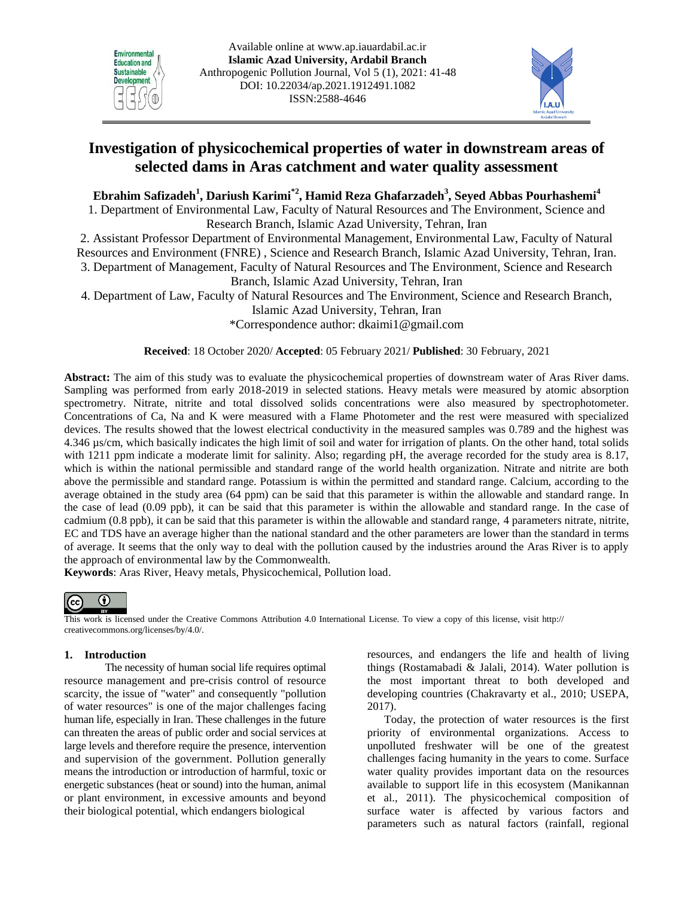



# **Investigation of physicochemical properties of water in downstream areas of selected dams in Aras catchment and water quality assessment**

## **Ebrahim Safizadeh<sup>1</sup> , Dariush Karimi\*2 , Hamid Reza Ghafarzadeh<sup>3</sup> , Seyed Abbas Pourhashemi<sup>4</sup>**

1. Department of Environmental Law, Faculty of Natural Resources and The Environment, Science and Research Branch, Islamic Azad University, Tehran, Iran

2. Assistant Professor Department of Environmental Management, Environmental Law, Faculty of Natural Resources and Environment (FNRE) , Science and Research Branch, Islamic Azad University, Tehran, Iran. 3. Department of Management, Faculty of Natural Resources and The Environment, Science and Research Branch, Islamic Azad University, Tehran, Iran

4. Department of Law, Faculty of Natural Resources and The Environment, Science and Research Branch,

Islamic Azad University, Tehran, Iran

\*Correspondence author: [dkaimi1@gmail.com](mailto:dkaimi1@gmail.com) 

**Received**: 18 October 2020/ **Accepted**: 05 February 2021/ **Published**: 30 February, 2021

**Abstract:** The aim of this study was to evaluate the physicochemical properties of downstream water of Aras River dams. Sampling was performed from early 2018-2019 in selected stations. Heavy metals were measured by atomic absorption spectrometry. Nitrate, nitrite and total dissolved solids concentrations were also measured by spectrophotometer. Concentrations of Ca, Na and K were measured with a Flame Photometer and the rest were measured with specialized devices. The results showed that the lowest electrical conductivity in the measured samples was 0.789 and the highest was 4.346 µs/cm, which basically indicates the high limit of soil and water for irrigation of plants. On the other hand, total solids with 1211 ppm indicate a moderate limit for salinity. Also; regarding pH, the average recorded for the study area is 8.17, which is within the national permissible and standard range of the world health organization. Nitrate and nitrite are both above the permissible and standard range. Potassium is within the permitted and standard range. Calcium, according to the average obtained in the study area (64 ppm) can be said that this parameter is within the allowable and standard range. In the case of lead (0.09 ppb), it can be said that this parameter is within the allowable and standard range. In the case of cadmium (0.8 ppb), it can be said that this parameter is within the allowable and standard range, 4 parameters nitrate, nitrite, EC and TDS have an average higher than the national standard and the other parameters are lower than the standard in terms of average. It seems that the only way to deal with the pollution caused by the industries around the Aras River is to apply the approach of environmental law by the Commonwealth.

**Keywords**: Aras River, Heavy metals, Physicochemical, Pollution load.



This work is licensed under the Creative Commons Attribution 4.0 International License. To view a copy of this license, visit http:// creativecommons.org/licenses/by/4.0/.

## **1. Introduction**

The necessity of human social life requires optimal resource management and pre-crisis control of resource scarcity, the issue of "water" and consequently "pollution of water resources" is one of the major challenges facing human life, especially in Iran. These challenges in the future can threaten the areas of public order and social services at large levels and therefore require the presence, intervention and supervision of the government. Pollution generally means the introduction or introduction of harmful, toxic or energetic substances (heat or sound) into the human, animal or plant environment, in excessive amounts and beyond their biological potential, which endangers biological

resources, and endangers the life and health of living things (Rostamabadi & Jalali, 2014). Water pollution is the most important threat to both developed and developing countries (Chakravarty et al., 2010; USEPA, 2017).

Today, the protection of water resources is the first priority of environmental organizations. Access to unpolluted freshwater will be one of the greatest challenges facing humanity in the years to come. Surface water quality provides important data on the resources available to support life in this ecosystem (Manikannan et al., 2011). The physicochemical composition of surface water is affected by various factors and parameters such as natural factors (rainfall, regional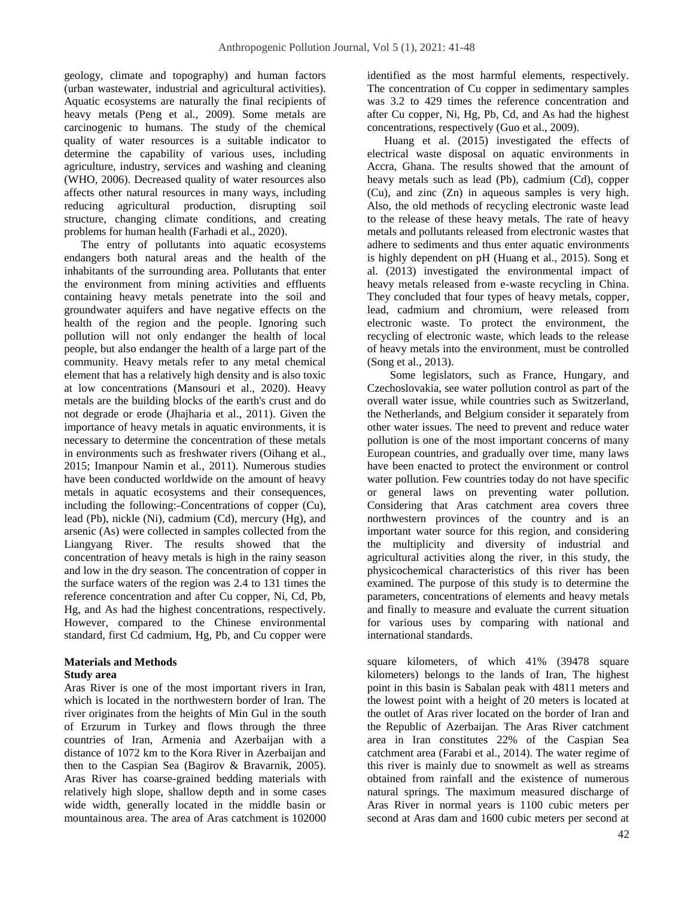geology, climate and topography) and human factors (urban wastewater, industrial and agricultural activities). Aquatic ecosystems are naturally the final recipients of heavy metals (Peng et al., 2009). Some metals are carcinogenic to humans. The study of the chemical quality of water resources is a suitable indicator to determine the capability of various uses, including agriculture, industry, services and washing and cleaning (WHO, 2006). Decreased quality of water resources also affects other natural resources in many ways, including reducing agricultural production, disrupting soil structure, changing climate conditions, and creating problems for human health (Farhadi et al., 2020).

 The entry of pollutants into aquatic ecosystems endangers both natural areas and the health of the inhabitants of the surrounding area. Pollutants that enter the environment from mining activities and effluents containing heavy metals penetrate into the soil and groundwater aquifers and have negative effects on the health of the region and the people. Ignoring such pollution will not only endanger the health of local people, but also endanger the health of a large part of the community. Heavy metals refer to any metal chemical element that has a relatively high density and is also toxic at low concentrations (Mansouri et al., 2020). Heavy metals are the building blocks of the earth's crust and do not degrade or erode (Jhajharia et al., 2011). Given the importance of heavy metals in aquatic environments, it is necessary to determine the concentration of these metals in environments such as freshwater rivers (Oihang et al., 2015; Imanpour Namin et al., 2011). Numerous studies have been conducted worldwide on the amount of heavy metals in aquatic ecosystems and their consequences, including the following: Concentrations of copper (Cu), lead (Pb), nickle (Ni), cadmium (Cd), mercury (Hg), and arsenic (As) were collected in samples collected from the Liangyang River. The results showed that the concentration of heavy metals is high in the rainy season and low in the dry season. The concentration of copper in the surface waters of the region was 2.4 to 131 times the reference concentration and after Cu copper, Ni, Cd, Pb, Hg, and As had the highest concentrations, respectively. However, compared to the Chinese environmental standard, first Cd cadmium, Hg, Pb, and Cu copper were

## **Materials and Methods**

## **Study area**

Aras River is one of the most important rivers in Iran, which is located in the northwestern border of Iran. The river originates from the heights of Min Gul in the south of Erzurum in Turkey and flows through the three countries of Iran, Armenia and Azerbaijan with a distance of 1072 km to the Kora River in Azerbaijan and then to the Caspian Sea (Bagirov & Bravarnik, 2005). Aras River has coarse-grained bedding materials with relatively high slope, shallow depth and in some cases wide width, generally located in the middle basin or mountainous area. The area of Aras catchment is 102000 identified as the most harmful elements, respectively. The concentration of Cu copper in sedimentary samples was 3.2 to 429 times the reference concentration and after Cu copper, Ni, Hg, Pb, Cd, and As had the highest concentrations, respectively (Guo et al., 2009).

 Huang et al. (2015) investigated the effects of electrical waste disposal on aquatic environments in Accra, Ghana. The results showed that the amount of heavy metals such as lead (Pb), cadmium (Cd), copper (Cu), and zinc (Zn) in aqueous samples is very high. Also, the old methods of recycling electronic waste lead to the release of these heavy metals. The rate of heavy metals and pollutants released from electronic wastes that adhere to sediments and thus enter aquatic environments is highly dependent on pH (Huang et al., 2015). Song et al. (2013) investigated the environmental impact of heavy metals released from e-waste recycling in China. They concluded that four types of heavy metals, copper, lead, cadmium and chromium, were released from electronic waste. To protect the environment, the recycling of electronic waste, which leads to the release of heavy metals into the environment, must be controlled (Song et al., 2013).

 Some legislators, such as France, Hungary, and Czechoslovakia, see water pollution control as part of the overall water issue, while countries such as Switzerland, the Netherlands, and Belgium consider it separately from other water issues. The need to prevent and reduce water pollution is one of the most important concerns of many European countries, and gradually over time, many laws have been enacted to protect the environment or control water pollution. Few countries today do not have specific or general laws on preventing water pollution. Considering that Aras catchment area covers three northwestern provinces of the country and is an important water source for this region, and considering the multiplicity and diversity of industrial and agricultural activities along the river, in this study, the physicochemical characteristics of this river has been examined. The purpose of this study is to determine the parameters, concentrations of elements and heavy metals and finally to measure and evaluate the current situation for various uses by comparing with national and international standards.

square kilometers, of which 41% (39478 square kilometers) belongs to the lands of Iran, The highest point in this basin is Sabalan peak with 4811 meters and the lowest point with a height of 20 meters is located at the outlet of Aras river located on the border of Iran and the Republic of Azerbaijan. The Aras River catchment area in Iran constitutes 22% of the Caspian Sea catchment area (Farabi et al., 2014). The water regime of this river is mainly due to snowmelt as well as streams obtained from rainfall and the existence of numerous natural springs. The maximum measured discharge of Aras River in normal years is 1100 cubic meters per second at Aras dam and 1600 cubic meters per second at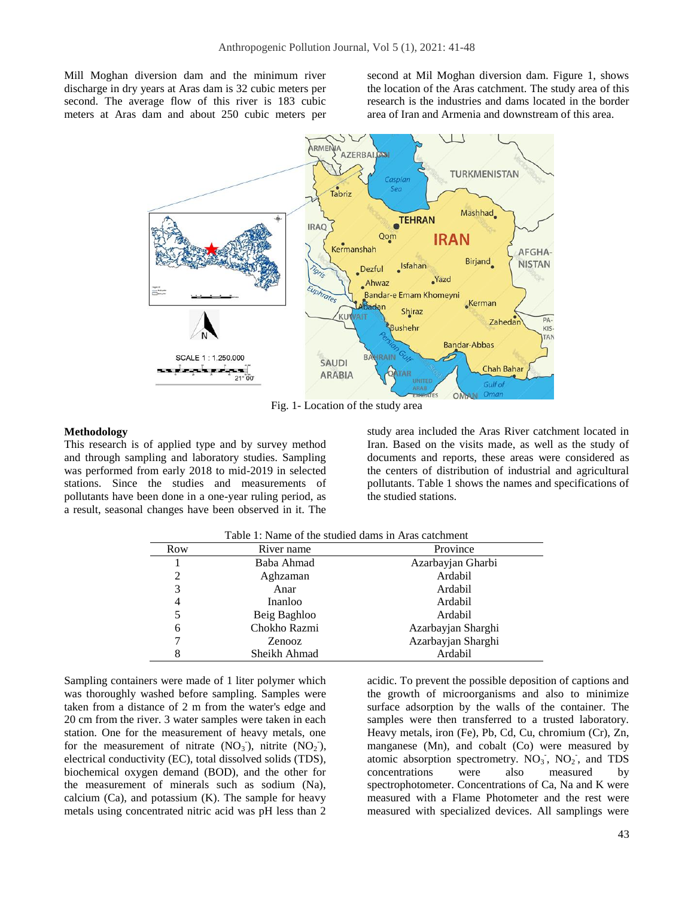Mill Moghan diversion dam and the minimum river discharge in dry years at Aras dam is 32 cubic meters per second. The average flow of this river is 183 cubic meters at Aras dam and about 250 cubic meters per second at Mil Moghan diversion dam. Figure 1, shows the location of the Aras catchment. The study area of this research is the industries and dams located in the border area of Iran and Armenia and downstream of this area.



Fig. 1- Location of the study area

#### **Methodology**

This research is of applied type and by survey method and through sampling and laboratory studies. Sampling was performed from early 2018 to mid-2019 in selected stations. Since the studies and measurements of pollutants have been done in a one-year ruling period, as a result, seasonal changes have been observed in it. The study area included the Aras River catchment located in Iran. Based on the visits made, as well as the study of documents and reports, these areas were considered as the centers of distribution of industrial and agricultural pollutants. Table 1 shows the names and specifications of the studied stations.

| Row | River name   | Province           |  |
|-----|--------------|--------------------|--|
|     | Baba Ahmad   | Azarbayjan Gharbi  |  |
| 2   | Aghzaman     | Ardabil            |  |
| 3   | Anar         | Ardabil            |  |
| 4   | Inanloo      | Ardabil            |  |
|     | Beig Baghloo | Ardabil            |  |
| 6   | Chokho Razmi | Azarbayjan Sharghi |  |
|     | Zenooz       | Azarbayjan Sharghi |  |
|     | Sheikh Ahmad | Ardabil            |  |

Sampling containers were made of 1 liter polymer which was thoroughly washed before sampling. Samples were taken from a distance of 2 m from the water's edge and 20 cm from the river. 3 water samples were taken in each station. One for the measurement of heavy metals, one for the measurement of nitrate  $(NO_3^-)$ , nitrite  $(NO_2^-)$ , electrical conductivity (EC), total dissolved solids (TDS), biochemical oxygen demand (BOD), and the other for the measurement of minerals such as sodium (Na), calcium  $(Ca)$ , and potassium  $(K)$ . The sample for heavy metals using concentrated nitric acid was pH less than 2

acidic. To prevent the possible deposition of captions and the growth of microorganisms and also to minimize surface adsorption by the walls of the container. The samples were then transferred to a trusted laboratory. Heavy metals, iron (Fe), Pb, Cd, Cu, chromium (Cr), Zn, manganese (Mn), and cobalt (Co) were measured by atomic absorption spectrometry.  $NO_3$ ,  $NO_2$ , and TDS concentrations were also measured by spectrophotometer. Concentrations of Ca, Na and K were measured with a Flame Photometer and the rest were measured with specialized devices. All samplings were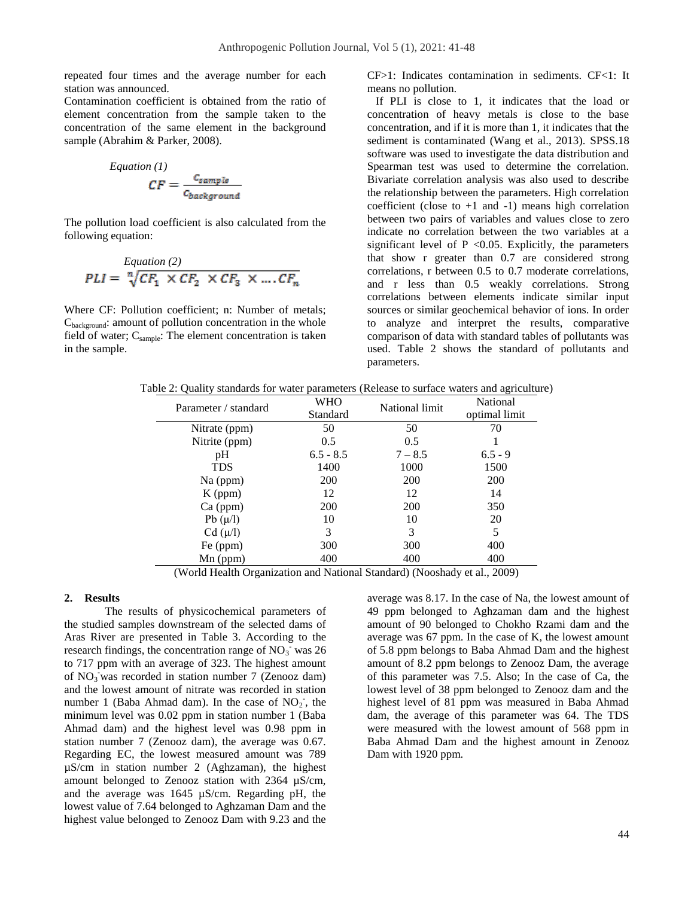repeated four times and the average number for each station was announced.

Contamination coefficient is obtained from the ratio of element concentration from the sample taken to the concentration of the same element in the background sample (Abrahim & Parker, 2008).

Equation (1)  
\n
$$
CF = \frac{c_{sample}}{c_{background}}
$$

The pollution load coefficient is also calculated from the following equation:

$$
F_{L1} = \sqrt[n]{CF_1 \times CF_2 \times CF_3 \times ... \cdot CF_n}
$$

Where CF: Pollution coefficient; n: Number of metals;  $C_{\text{background}}$ : amount of pollution concentration in the whole field of water;  $C_{\text{sample}}$ : The element concentration is taken in the sample.

CF>1: Indicates contamination in sediments. CF<1: It means no pollution.

 If PLI is close to 1, it indicates that the load or concentration of heavy metals is close to the base concentration, and if it is more than 1, it indicates that the sediment is contaminated (Wang et al., 2013). SPSS.18 software was used to investigate the data distribution and Spearman test was used to determine the correlation. Bivariate correlation analysis was also used to describe the relationship between the parameters. High correlation coefficient (close to  $+1$  and  $-1$ ) means high correlation between two pairs of variables and values close to zero indicate no correlation between the two variables at a significant level of  $P < 0.05$ . Explicitly, the parameters that show r greater than 0.7 are considered strong correlations, r between 0.5 to 0.7 moderate correlations, and r less than 0.5 weakly correlations. Strong correlations between elements indicate similar input sources or similar geochemical behavior of ions. In order to analyze and interpret the results, comparative comparison of data with standard tables of pollutants was used. Table 2 shows the standard of pollutants and parameters.

|  |  |  |  | Table 2: Quality standards for water parameters (Release to surface waters and agriculture) |
|--|--|--|--|---------------------------------------------------------------------------------------------|
|--|--|--|--|---------------------------------------------------------------------------------------------|

| Parameter / standard | WHO         | National limit | National      |
|----------------------|-------------|----------------|---------------|
|                      | Standard    |                | optimal limit |
| Nitrate (ppm)        | 50          | 50             | 70            |
| Nitrite (ppm)        | 0.5         | 0.5            |               |
| pH                   | $6.5 - 8.5$ | $7 - 8.5$      | $6.5 - 9$     |
| <b>TDS</b>           | 1400        | 1000           | 1500          |
| Na (ppm)             | <b>200</b>  | <b>200</b>     | <b>200</b>    |
| $K$ (ppm)            | 12          | 12             | 14            |
| $Ca$ (ppm)           | <b>200</b>  | <b>200</b>     | 350           |
| $Pb(\mu/l)$          | 10          | 10             | 20            |
| $Cd (\mu/l)$         | 3           | 3              | 5             |
| Fe (ppm)             | 300         | 300            | 400           |
| $Mn$ (ppm)           | 400         | 400            | 400           |

(World Health Organization and National Standard) (Nooshady et al., 2009)

## **2. Results**

The results of physicochemical parameters of the studied samples downstream of the selected dams of Aras River are presented in Table 3. According to the research findings, the concentration range of  $NO<sub>3</sub>$  was 26 to 717 ppm with an average of 323. The highest amount of  $NO_3$  was recorded in station number 7 (Zenooz dam) and the lowest amount of nitrate was recorded in station number 1 (Baba Ahmad dam). In the case of  $NO<sub>2</sub>$ , the minimum level was 0.02 ppm in station number 1 (Baba Ahmad dam) and the highest level was 0.98 ppm in station number 7 (Zenooz dam), the average was 0.67. Regarding EC, the lowest measured amount was 789 µS/cm in station number 2 (Aghzaman), the highest amount belonged to Zenooz station with 2364 µS/cm, and the average was 1645 µS/cm. Regarding pH, the lowest value of 7.64 belonged to Aghzaman Dam and the highest value belonged to Zenooz Dam with 9.23 and the

average was 8.17. In the case of Na, the lowest amount of 49 ppm belonged to Aghzaman dam and the highest amount of 90 belonged to Chokho Rzami dam and the average was 67 ppm. In the case of K, the lowest amount of 5.8 ppm belongs to Baba Ahmad Dam and the highest amount of 8.2 ppm belongs to Zenooz Dam, the average of this parameter was 7.5. Also; In the case of Ca, the lowest level of 38 ppm belonged to Zenooz dam and the highest level of 81 ppm was measured in Baba Ahmad dam, the average of this parameter was 64. The TDS were measured with the lowest amount of 568 ppm in Baba Ahmad Dam and the highest amount in Zenooz Dam with 1920 ppm.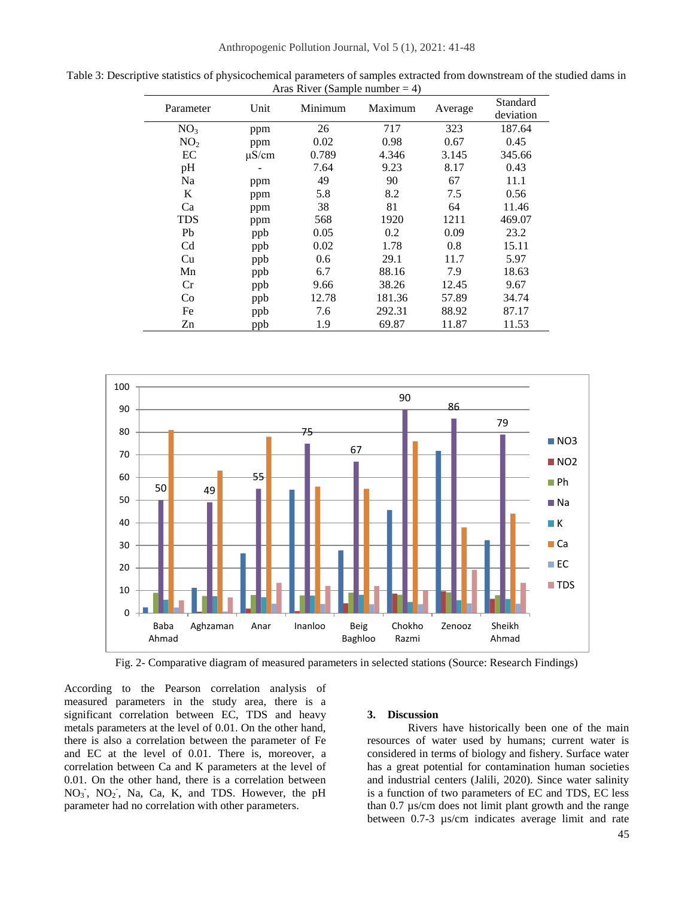| Parameter       | Unit       | Minimum | Maximum | Average | Standard  |
|-----------------|------------|---------|---------|---------|-----------|
|                 |            |         |         |         | deviation |
| NO <sub>3</sub> | ppm        | 26      | 717     | 323     | 187.64    |
| NO <sub>2</sub> | ppm        | 0.02    | 0.98    | 0.67    | 0.45      |
| EC              | $\mu$ S/cm | 0.789   | 4.346   | 3.145   | 345.66    |
| pH              |            | 7.64    | 9.23    | 8.17    | 0.43      |
| Na              | ppm        | 49      | 90      | 67      | 11.1      |
| K               | ppm        | 5.8     | 8.2     | 7.5     | 0.56      |
| Ca              | ppm        | 38      | 81      | 64      | 11.46     |
| <b>TDS</b>      | ppm        | 568     | 1920    | 1211    | 469.07    |
| P <sub>b</sub>  | ppb        | 0.05    | 0.2     | 0.09    | 23.2      |
| C <sub>d</sub>  | ppb        | 0.02    | 1.78    | 0.8     | 15.11     |
| Cu              | ppb        | 0.6     | 29.1    | 11.7    | 5.97      |
| Mn              | ppb        | 6.7     | 88.16   | 7.9     | 18.63     |
| Cr              | ppb        | 9.66    | 38.26   | 12.45   | 9.67      |
| Co              | ppb        | 12.78   | 181.36  | 57.89   | 34.74     |
| Fe              | ppb        | 7.6     | 292.31  | 88.92   | 87.17     |
| Zn              | ppb        | 1.9     | 69.87   | 11.87   | 11.53     |

Table 3: Descriptive statistics of physicochemical parameters of samples extracted from downstream of the studied dams in Aras River (Sample number  $= 4$ )



Fig. 2- Comparative diagram of measured parameters in selected stations (Source: Research Findings)

According to the Pearson correlation analysis of measured parameters in the study area, there is a significant correlation between EC, TDS and heavy metals parameters at the level of 0.01. On the other hand, there is also a correlation between the parameter of Fe and EC at the level of 0.01. There is, moreover, a correlation between Ca and K parameters at the level of 0.01. On the other hand, there is a correlation between  $NO<sub>3</sub>$ ,  $NO<sub>2</sub>$ , Na, Ca, K, and TDS. However, the pH parameter had no correlation with other parameters.

#### **3. Discussion**

Rivers have historically been one of the main resources of water used by humans; current water is considered in terms of biology and fishery. Surface water has a great potential for contamination human societies and industrial centers (Jalili, 2020). Since water salinity is a function of two parameters of EC and TDS, EC less than 0.7 µs/cm does not limit plant growth and the range between 0.7-3 µs/cm indicates average limit and rate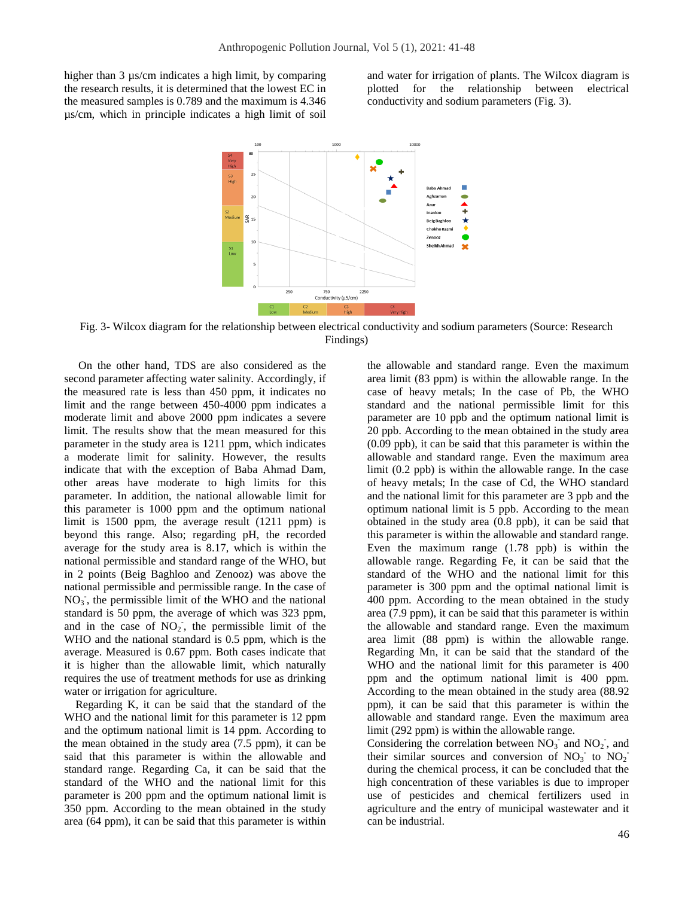higher than 3  $\mu$ s/cm indicates a high limit, by comparing the research results, it is determined that the lowest EC in the measured samples is 0.789 and the maximum is 4.346 µs/cm, which in principle indicates a high limit of soil

and water for irrigation of plants. The Wilcox diagram is plotted for the relationship between electrical conductivity and sodium parameters (Fig. 3).



Fig. 3- Wilcox diagram for the relationship between electrical conductivity and sodium parameters (Source: Research Findings)

 On the other hand, TDS are also considered as the second parameter affecting water salinity. Accordingly, if the measured rate is less than 450 ppm, it indicates no limit and the range between 450-4000 ppm indicates a moderate limit and above 2000 ppm indicates a severe limit. The results show that the mean measured for this parameter in the study area is 1211 ppm, which indicates a moderate limit for salinity. However, the results indicate that with the exception of Baba Ahmad Dam, other areas have moderate to high limits for this parameter. In addition, the national allowable limit for this parameter is 1000 ppm and the optimum national limit is 1500 ppm, the average result (1211 ppm) is beyond this range. Also; regarding pH, the recorded average for the study area is 8.17, which is within the national permissible and standard range of the WHO, but in 2 points (Beig Baghloo and Zenooz) was above the national permissible and permissible range. In the case of  $NO<sub>3</sub>$ , the permissible limit of the WHO and the national standard is 50 ppm, the average of which was 323 ppm, and in the case of  $NO<sub>2</sub>$ , the permissible limit of the WHO and the national standard is 0.5 ppm, which is the average. Measured is 0.67 ppm. Both cases indicate that it is higher than the allowable limit, which naturally requires the use of treatment methods for use as drinking water or irrigation for agriculture.

 Regarding K, it can be said that the standard of the WHO and the national limit for this parameter is 12 ppm and the optimum national limit is 14 ppm. According to the mean obtained in the study area (7.5 ppm), it can be said that this parameter is within the allowable and standard range. Regarding Ca, it can be said that the standard of the WHO and the national limit for this parameter is 200 ppm and the optimum national limit is 350 ppm. According to the mean obtained in the study area (64 ppm), it can be said that this parameter is within

the allowable and standard range. Even the maximum area limit (83 ppm) is within the allowable range. In the case of heavy metals; In the case of Pb, the WHO standard and the national permissible limit for this parameter are 10 ppb and the optimum national limit is 20 ppb. According to the mean obtained in the study area (0.09 ppb), it can be said that this parameter is within the allowable and standard range. Even the maximum area limit (0.2 ppb) is within the allowable range. In the case of heavy metals; In the case of Cd, the WHO standard and the national limit for this parameter are 3 ppb and the optimum national limit is 5 ppb. According to the mean obtained in the study area (0.8 ppb), it can be said that this parameter is within the allowable and standard range. Even the maximum range (1.78 ppb) is within the allowable range. Regarding Fe, it can be said that the standard of the WHO and the national limit for this parameter is 300 ppm and the optimal national limit is 400 ppm. According to the mean obtained in the study area (7.9 ppm), it can be said that this parameter is within the allowable and standard range. Even the maximum area limit (88 ppm) is within the allowable range. Regarding Mn, it can be said that the standard of the WHO and the national limit for this parameter is 400 ppm and the optimum national limit is 400 ppm. According to the mean obtained in the study area (88.92 ppm), it can be said that this parameter is within the allowable and standard range. Even the maximum area limit (292 ppm) is within the allowable range.

Considering the correlation between  $NO_3^-$  and  $NO_2^-$ , and their similar sources and conversion of  $NO_3^-$  to  $NO_2^$ during the chemical process, it can be concluded that the high concentration of these variables is due to improper use of pesticides and chemical fertilizers used in agriculture and the entry of municipal wastewater and it can be industrial.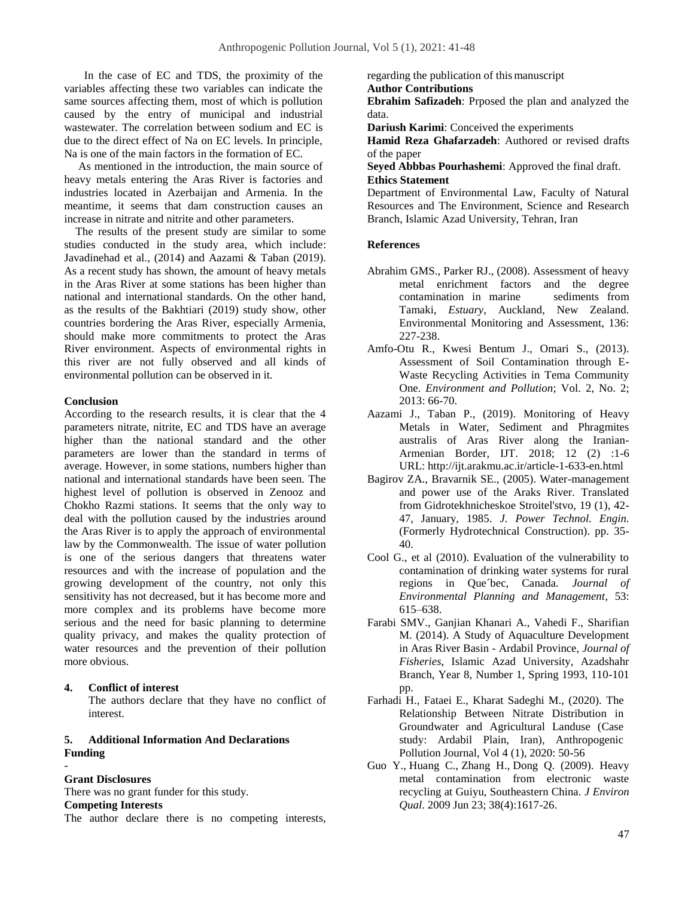In the case of EC and TDS, the proximity of the variables affecting these two variables can indicate the same sources affecting them, most of which is pollution caused by the entry of municipal and industrial wastewater. The correlation between sodium and EC is due to the direct effect of Na on EC levels. In principle, Na is one of the main factors in the formation of EC.

 As mentioned in the introduction, the main source of heavy metals entering the Aras River is factories and industries located in Azerbaijan and Armenia. In the meantime, it seems that dam construction causes an increase in nitrate and nitrite and other parameters.

 The results of the present study are similar to some studies conducted in the study area, which include: Javadinehad et al., (2014) and Aazami & Taban (2019). As a recent study has shown, the amount of heavy metals in the Aras River at some stations has been higher than national and international standards. On the other hand, as the results of the Bakhtiari (2019) study show, other countries bordering the Aras River, especially Armenia, should make more commitments to protect the Aras River environment. Aspects of environmental rights in this river are not fully observed and all kinds of environmental pollution can be observed in it.

## **Conclusion**

According to the research results, it is clear that the 4 parameters nitrate, nitrite, EC and TDS have an average higher than the national standard and the other parameters are lower than the standard in terms of average. However, in some stations, numbers higher than national and international standards have been seen. The highest level of pollution is observed in Zenooz and Chokho Razmi stations. It seems that the only way to deal with the pollution caused by the industries around the Aras River is to apply the approach of environmental law by the Commonwealth. The issue of water pollution is one of the serious dangers that threatens water resources and with the increase of population and the growing development of the country, not only this sensitivity has not decreased, but it has become more and more complex and its problems have become more serious and the need for basic planning to determine quality privacy, and makes the quality protection of water resources and the prevention of their pollution more obvious.

**4. Conflict of interest**

The authors declare that they have no conflict of interest.

## **5. Additional Information And Declarations Funding**

## **Grant Disclosures**

*-*

There was no grant funder for this study.

## **Competing Interests**

The author declare there is no competing interests,

regarding the publication of thismanuscript **Author Contributions** 

**Ebrahim Safizadeh**: Prposed the plan and analyzed the data.

**Dariush Karimi**: Conceived the experiments

**Hamid Reza Ghafarzadeh**: Authored or revised drafts of the paper

**Seyed Abbbas Pourhashemi**: Approved the final draft. **Ethics Statement** 

Department of Environmental Law, Faculty of Natural Resources and The Environment, Science and Research Branch, Islamic Azad University, Tehran, Iran

## **References**

- Abrahim GMS., Parker RJ., (2008). Assessment of heavy metal enrichment factors and the degree contamination in marine sediments from Tamaki, *Estuary*, Auckland, New Zealand. Environmental Monitoring and Assessment, 136: 227-238.
- Amfo-Otu R., Kwesi Bentum J., Omari S., (2013). Assessment of Soil Contamination through E-Waste Recycling Activities in Tema Community One. *Environment and Pollution*; Vol. 2, No. 2; 2013: 66-70.
- Aazami J., Taban P., (2019). [Monitoring of Heavy](http://ijt.arakmu.ac.ir/article-1-633-en.pdf)  [Metals in Water, Sediment and Phragmites](http://ijt.arakmu.ac.ir/article-1-633-en.pdf)  [australis of Aras River along the Iranian-](http://ijt.arakmu.ac.ir/article-1-633-en.pdf)[Armenian Border,](http://ijt.arakmu.ac.ir/article-1-633-en.pdf) IJT. 2018; 12 (2) :1-6 URL[: http://ijt.arakmu.ac.ir/article-1-633-en.html](http://ijt.arakmu.ac.ir/article-1-633-en.html)
- Bagirov ZA., Bravarnik SE., (2005). Water-management and power use of the Araks River. Translated from Gidrotekhnicheskoe Stroitel'stvo, 19 (1), 42- 47, January, 1985. *J. Power Technol. Engin.* (Formerly Hydrotechnical Construction). pp. 35- 40.
- Cool G., et al (2010). Evaluation of the vulnerability to contamination of drinking water systems for rural regions in Que´bec, Canada. *Journal of Environmental Planning and Management*, 53: 615–638.
- Farabi SMV., Ganjian Khanari A., Vahedi F., Sharifian M. (2014). A Study of Aquaculture Development in Aras River Basin - Ardabil Province, *Journal of Fisheries*, Islamic Azad University, Azadshahr Branch, Year 8, Number 1, Spring 1993, 110-101 pp.
- Farhadi H., Fataei E., Kharat Sadeghi M., (2020). The Relationship Between Nitrate Distribution in Groundwater and Agricultural Landuse (Case study: Ardabil Plain, Iran), Anthropogenic Pollution Journal, Vol 4 (1), 2020: 50-56
- [Guo Y.](http://www.ncbi.nlm.nih.gov/pubmed/?term=Guo%20Y%5BAuthor%5D&cauthor=true&cauthor_uid=19549938), [Huang C.](http://www.ncbi.nlm.nih.gov/pubmed/?term=Huang%20C%5BAuthor%5D&cauthor=true&cauthor_uid=19549938), [Zhang H.](http://www.ncbi.nlm.nih.gov/pubmed/?term=Zhang%20H%5BAuthor%5D&cauthor=true&cauthor_uid=19549938), [Dong Q.](http://www.ncbi.nlm.nih.gov/pubmed/?term=Dong%20Q%5BAuthor%5D&cauthor=true&cauthor_uid=19549938) (2009). Heavy metal contamination from electronic waste recycling at Guiyu, Southeastern China. *[J Environ](http://www.ncbi.nlm.nih.gov/pubmed/19549938)  [Qual](http://www.ncbi.nlm.nih.gov/pubmed/19549938)*. 2009 Jun 23; 38(4):1617-26.